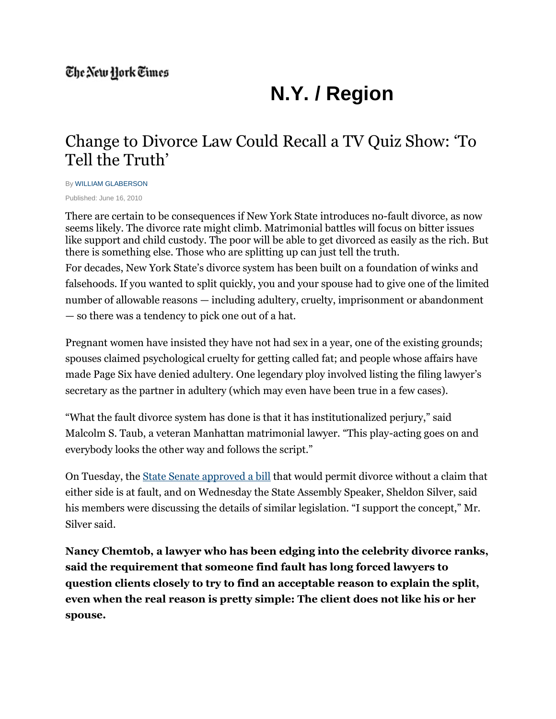## **[N.Y. / Region](http://www.nytimes.com/pages/nyregion/index.html)**

## Change to Divorce Law Could Recall a TV Quiz Show: "To Tell the Truth'

By [WILLIAM GLABERSON](http://topics.nytimes.com/top/reference/timestopics/people/g/william_glaberson/index.html?inline=nyt-per)

Published: June 16, 2010

There are certain to be consequences if New York State introduces no-fault divorce, as now seems likely. The divorce rate might climb. Matrimonial battles will focus on bitter issues like support and child custody. The poor will be able to get divorced as easily as the rich. But there is something else. Those who are splitting up can just tell the truth.

For decades, New York State"s divorce system has been built on a foundation of winks and falsehoods. If you wanted to split quickly, you and your spouse had to give one of the limited number of allowable reasons — including adultery, cruelty, imprisonment or abandonment — so there was a tendency to pick one out of a hat.

Pregnant women have insisted they have not had sex in a year, one of the existing grounds; spouses claimed psychological cruelty for getting called fat; and people whose affairs have made Page Six have denied adultery. One legendary ploy involved listing the filing lawyer"s secretary as the partner in adultery (which may even have been true in a few cases).

"What the fault divorce system has done is that it has institutionalized perjury," said Malcolm S. Taub, a veteran Manhattan matrimonial lawyer. "This play-acting goes on and everybody looks the other way and follows the script."

On Tuesday, the [State Senate approved a bill](http://www.nytimes.com/2010/06/16/nyregion/16divorce.html) that would permit divorce without a claim that either side is at fault, and on Wednesday the State Assembly Speaker, Sheldon Silver, said his members were discussing the details of similar legislation. "I support the concept," Mr. Silver said.

**Nancy Chemtob, a lawyer who has been edging into the celebrity divorce ranks, said the requirement that someone find fault has long forced lawyers to question clients closely to try to find an acceptable reason to explain the split, even when the real reason is pretty simple: The client does not like his or her spouse.**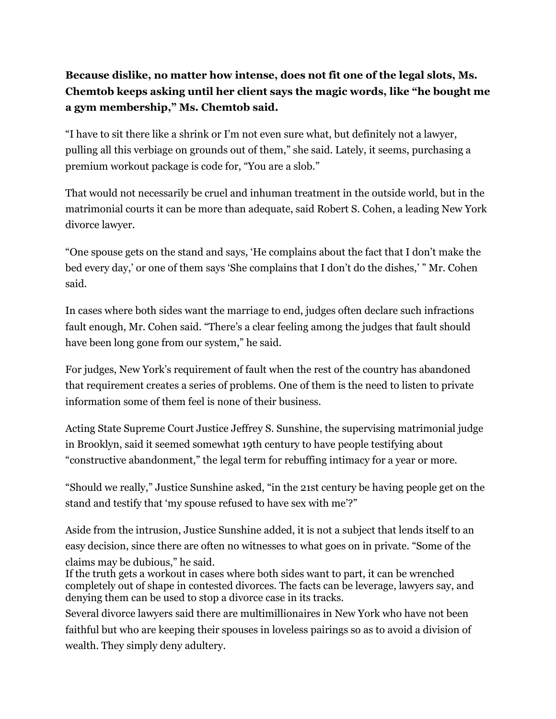## **Because dislike, no matter how intense, does not fit one of the legal slots, Ms. Chemtob keeps asking until her client says the magic words, like "he bought me a gym membership," Ms. Chemtob said.**

"I have to sit there like a shrink or I"m not even sure what, but definitely not a lawyer, pulling all this verbiage on grounds out of them," she said. Lately, it seems, purchasing a premium workout package is code for, "You are a slob."

That would not necessarily be cruel and inhuman treatment in the outside world, but in the matrimonial courts it can be more than adequate, said Robert S. Cohen, a leading New York divorce lawyer.

"One spouse gets on the stand and says, "He complains about the fact that I don"t make the bed every day,' or one of them says 'She complains that I don't do the dishes,' " Mr. Cohen said.

In cases where both sides want the marriage to end, judges often declare such infractions fault enough, Mr. Cohen said. "There's a clear feeling among the judges that fault should have been long gone from our system," he said.

For judges, New York"s requirement of fault when the rest of the country has abandoned that requirement creates a series of problems. One of them is the need to listen to private information some of them feel is none of their business.

Acting State Supreme Court Justice Jeffrey S. Sunshine, the supervising matrimonial judge in Brooklyn, said it seemed somewhat 19th century to have people testifying about "constructive abandonment," the legal term for rebuffing intimacy for a year or more.

"Should we really," Justice Sunshine asked, "in the 21st century be having people get on the stand and testify that 'my spouse refused to have sex with me'?"

Aside from the intrusion, Justice Sunshine added, it is not a subject that lends itself to an easy decision, since there are often no witnesses to what goes on in private. "Some of the claims may be dubious," he said.

If the truth gets a workout in cases where both sides want to part, it can be wrenched completely out of shape in contested divorces. The facts can be leverage, lawyers say, and denying them can be used to stop a divorce case in its tracks.

Several divorce lawyers said there are multimillionaires in New York who have not been faithful but who are keeping their spouses in loveless pairings so as to avoid a division of wealth. They simply deny adultery.